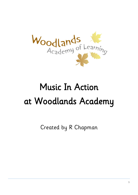

# Music In Action at Woodlands Academy

Created by R Chapman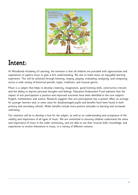

# Intent:

At Woodlands Academy of Learning, the intention is that all children are provided with opportunities and experiences to explore music to gain a firm understanding. We aim to make music an enjoyable learning experience. This will be achieved through listening, singing, playing, evaluating, analysing, and composing across a wide variety of historical periods, styles, traditions, and musical genres.

Music is a subject that helps to develop creativity, imagination, good listening skills, constructive criticism and the ability to express personal thoughts and feelings. Education Endowment Fund indicates that the impact of arts participation is positive and improved outcomes have been identified in the core subjects-English, mathematics and science. Research suggests that arts participation has a greater effect on average for younger learners and, in some cases for disadvantaged pupils and benefits have been found in both primary and secondary schools. Wider benefits include more positive attitudes to learning and increased well-being.

Our intention will be to develop a love for the subject, as well as an understanding and acceptance of the validity and importance of all types of music. We are committed to ensuring children understand the value and importance of music in the wider community, and are able to use their musical skills, knowledge, and experiences to involve themselves in music, in a variety of different contexts.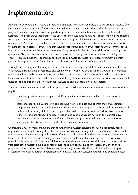# Implementation:

All children at Woodlands receive a broad and balanced curriculum regardless of year group or ability. Our curriculum is centred around 'Charanga', a music-based scheme, in which the children learn to sing and play instruments. They also have an opportunity to develop an understanding of pulse, rhythm and notation. The programme incorporates the use of technologies such as 'Garage Band', enabling the children to compose their own pieces. It also focuses on developing the children's ability to sing in tune and with other people. As children get older, we expect them to maintain their concentration for longer and to listen to more extended pieces of music. Children develop descriptive skills in music lessons when learning about how music can represent feelings and emotions. They are taught the disciplined skills of recognising pulse and pitch. Also, how to work with others to compose music and perform for an audience. Finally, we ensure every child has the opportunity to learn (from a music specialist) a stringed instrument on their journey through the school. Pupils learn to read music and play as part of an ensemble.

Through the teaching and learning of music, children are learning to work both independently and as part of a group, ensuring skills of resilience and teamwork are promoted in this subject. Children are enthused and engaged in a wide variety of music activities. Opportunities to perform outside of school, within our local environment ensure our children understand its significance and place within the wider world and that these excite and inspire children's thirst for knowledge and participation in this subject.

The national curriculum for music and our progression of skills within each milestone aims to ensure that all pupils:

- confidently perform either singing or skilfully playing an instrument, either solo or as part of a group.
- listen and appraise a variety of music, learning how to analyse and express their own opinions.
- compose and create song with verses and chorus and create rhythmic patterns and an awareness of timbre and duration; digital technology may be used to compose, edit and refine pieces of music.
- transcribe and use standard musical notation and read and create notes on the musical stave.
- describe music, using a wide range of musical vocabulary to accurately describe and appraise.
- learn about the history, purpose and cultural meanings of music.

Charanga's Units of Work enable children to understand musical concepts through a repetition-based approach to learning. Learning about the same musical concept through different musical activities enables a more secure, deeper learning and mastery of musical skills. Musical teaching and learning is not neat or linear. The strands of musical learning, presented within the lesson plans and the on-screen resources, are part of the learning spiral. Over time, children can both develop new musical skills and concepts, and revisit established musical skills and concepts. Repeating a musical skill doesn't necessarily mean their progress is slowing down or their development is moving backwards! It's just shifting within the spiral. Mastery means both a deeper understanding of musical skills and concepts and learning something new.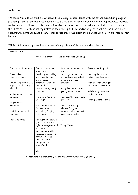#### **Inclusion**

We teach Music to all children, whatever their ability, in accordance with the school curriculum policy of providing a broad and balanced education to all children. Teachers provide learning opportunities matched to the needs of children with learning difficulties. Inclusive practice should enable all children to achieve their best possible standard regardless of their ability and irrespective of gender, ethnic, social or cultural background, home language or any other aspect that could affect their participation in, or progress in their learning.

SEND children are supported in a variety of ways. Some of these are outlined below:

| Cognition and Learning<br>Provide visuals to<br>support vocabulary | Communication and<br>interaction                                                                      | Social, emotional mental                                                    |                                                                                 |
|--------------------------------------------------------------------|-------------------------------------------------------------------------------------------------------|-----------------------------------------------------------------------------|---------------------------------------------------------------------------------|
|                                                                    |                                                                                                       |                                                                             |                                                                                 |
|                                                                    |                                                                                                       | health                                                                      | Sensory and Physical                                                            |
|                                                                    | Develop 'good talking'<br>and 'good listening'<br>prompt cards                                        | Encourage the pupil to<br>take on leadership roles in<br>group or partnered | Reducing background<br>noise in the classroom                                   |
| Ensure equipment is well<br>organised and clearly<br>labelled;     | containing visuals to<br>support the<br>development of specific<br>target skills.                     | activities.<br>Mindfulness music during<br>quiet, focussed times            | Include opportunities for<br>repetition in lesson time.<br>Whole body movements |
| Rolling numbers - cross<br>curricular                              | Prompt questions on<br>Charanga                                                                       | How does the music make<br>you feel?                                        | to find the beat.<br>Putting actions to songs                                   |
| Playing musical<br>instruments                                     | Provide opportunities<br>for overlearning                                                             | Teach that singing<br>releases 'feel good'                                  |                                                                                 |
| Modelling – call and<br>response                                   | vocabulary (Singing<br>Assemblies)<br>Ask pupils to classify a                                        | hormones, which support<br>good mental health.<br>Disco                     |                                                                                 |
| Actions to songs                                                   | group of words into<br>different categories and<br>make cards for<br>each category with               | <b>Young Voices</b>                                                         |                                                                                 |
|                                                                    | supporting visuals. For<br>example, a list of<br>transport words<br>categorised into<br>air/sea/land. |                                                                             |                                                                                 |
|                                                                    | Choir                                                                                                 |                                                                             |                                                                                 |
|                                                                    |                                                                                                       | Reasonable Adjustments (LA and Environmental SEND) (Band 1)                 |                                                                                 |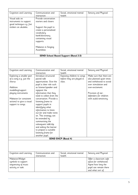| Cognition and Learning    | Communication and<br>interaction | Social, emotional mental<br>health          | Sensory and Physical     |
|---------------------------|----------------------------------|---------------------------------------------|--------------------------|
| Visual aids on            | Provide conversation             |                                             |                          |
| instruments to support    | starters and closers             |                                             |                          |
| good technique e.g. fret  |                                  |                                             |                          |
| stickers on ukuleles.     | Support the pupil to             |                                             |                          |
|                           |                                  |                                             |                          |
|                           | create a personalised            |                                             |                          |
|                           | vocabulary                       |                                             |                          |
|                           | bank/dictionary                  |                                             |                          |
|                           | containing visual                |                                             |                          |
|                           | supports.                        |                                             |                          |
|                           |                                  |                                             |                          |
|                           | Makaton in Singing               |                                             |                          |
|                           | Assemblies                       |                                             |                          |
|                           |                                  | <b>SEND School Based Support (Band 2-3)</b> |                          |
|                           |                                  |                                             |                          |
|                           |                                  |                                             |                          |
|                           |                                  |                                             |                          |
|                           |                                  |                                             |                          |
|                           |                                  |                                             |                          |
| Cognition and Learning    | Communication and                | Social, emotional mental                    | Sensory and Physical     |
|                           | interaction                      | health                                      |                          |
| Exploring a smaller part  | Introduce structured             | Exposing children to songs                  | Make sure that there are |
| of a song e.g. just the   | paired talk                      | before they are played in                   | also planned quiet times |
| chorus                    | opportunities. Give the          | class.                                      | and withdrawal to avoid  |
|                           | pupil a clear role such          |                                             | over stimulation and     |
| Addition                  | as listener/speaker and          |                                             | over-excitement.         |
| modelling/support         | signpost the                     |                                             |                          |
| playing instruments       | information that they            |                                             | Provision of ear-        |
|                           | need to collect from the         |                                             | defenders for children   |
| Makaton (or consistent    | conversation. Provide a          |                                             | with audio-sensitivity.  |
| actions) to give a visual | listening frame to               |                                             |                          |
| support to songs.         | support pupils in                |                                             |                          |
|                           | identifying what                 |                                             |                          |
|                           | information to listen            |                                             |                          |
|                           | out for and make notes           |                                             |                          |
|                           |                                  |                                             |                          |
|                           | on. This strategy can            |                                             |                          |
|                           | be extended by                   |                                             |                          |
|                           | summarising the                  |                                             |                          |
|                           | subsequent talk/clip             |                                             |                          |
|                           | and asking the learner           |                                             |                          |
|                           | to prepare a suitable            |                                             |                          |
|                           | listening frame for              |                                             |                          |
|                           | another pupil.                   |                                             |                          |
|                           |                                  | <b>SEND EHCP (Band 4)</b>                   |                          |
|                           |                                  |                                             |                          |
|                           |                                  |                                             |                          |
|                           |                                  |                                             |                          |
|                           |                                  |                                             |                          |
| Cognition and Learning    | Communication and                | Social, emotional mental                    | Sensory and Physical     |
|                           | interaction                      | health                                      |                          |
| Makaton/Widget            |                                  |                                             | Offer a classroom safe   |
| symbols to support        |                                  |                                             | space for withdrawal.    |
| sequencing of music       |                                  |                                             | Agree how long the       |
| activity or task.         |                                  |                                             | pupil can remain there   |
|                           |                                  |                                             |                          |
|                           |                                  |                                             | and what sort of         |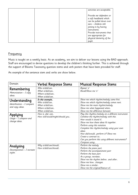|  | activities are acceptable.                                                                                                                                                                                                              |
|--|-----------------------------------------------------------------------------------------------------------------------------------------------------------------------------------------------------------------------------------------|
|  | Provide ear defenders or<br>a soft headband which<br>can be pulled down over<br>ears - children still<br>joining in by having<br>instruments.<br>Provide instruments that<br>are appropriate for<br>physical dexterity of the<br>pupil. |

#### **Frequency**

Music is taught on a weekly basis. As an academy, we aim to deliver our lessons using the BAD approach. Staff are encouraged to devise questions to develop the children's thinking further. This is achieved through the support of Blooms Taxonomy question stems and verb posters that have been provided for staff.

An example of the sentence stem and verbs are show below.

| Domain                                                         | <b>Verbal Response Stems</b>                                                                | <b>Musical Response Stems</b>                                                                                                                                                                                                                                                                                                                                                            |
|----------------------------------------------------------------|---------------------------------------------------------------------------------------------|------------------------------------------------------------------------------------------------------------------------------------------------------------------------------------------------------------------------------------------------------------------------------------------------------------------------------------------------------------------------------------------|
| Remembering<br>Memorization $-I$ copy<br>ideas.                | Who is/did/can<br>What is/did/can<br>Where is/did/can<br>When is/did/can                    | Repeat 'x'<br>Recall/Show me 'x'                                                                                                                                                                                                                                                                                                                                                         |
| Understanding<br>Identification - I compare<br>and copy ideas. | In this example<br>Who is/did/can<br>What is/did/can<br>Where is/did/can<br>When is/did/can | Show me which rhythm/melody came first.<br>Show me which rhythm/melody comes next.<br>Show me the main rhythm/melody.<br>Show me what happened when<br>Show me the difference between                                                                                                                                                                                                    |
| Applying<br>Usage $-I$ compare and<br>change ideas.            | How is, did, can<br>How will/would/might/should you                                         | Play this rhythm,/melody on a different instrument.<br>Combine the rhythm/melody with this.<br>How would it sound if<br>Show me how these ideas fit together.<br>Perform using this notation.<br>Complete this rhythm/melody using your own<br>ideas<br>How did/would perform it? Show me.<br>Create a contrast to<br>Can you perform this using different instruments?<br>Compose using |
| Analysing<br>Decomposition - I recreate<br>styles.             | Why is/did/can/should<br>How is/did/can/should                                              | Perform the melody<br>Perform the piano part.<br>Perform the accompaniment part<br>Perform the bass part.<br>As a group, recreate<br>Show me the rhythm before and after<br>Show me how changes.<br>Show me a similar<br>Show me the original/feature of                                                                                                                                 |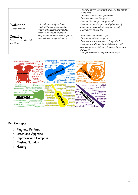|                                                      |                                                                                                                              | Using the correct instrument, show me the chords<br>of this song.<br>Show me the part that performed.<br>Show me what would happen if<br>Shoe me the changes that you made                                                                                        |
|------------------------------------------------------|------------------------------------------------------------------------------------------------------------------------------|-------------------------------------------------------------------------------------------------------------------------------------------------------------------------------------------------------------------------------------------------------------------|
| Evaluating<br>Decision Making                        | Who will/would/might/should<br>What will/would/might/should<br>Where will/would/might/should<br>When will/would/might/should | Show me the most important rhythm/melody<br>Show me the least effective rhythm/melody<br>Make improvements to                                                                                                                                                     |
| Creating<br>Create $-I$ combine styles<br>and ideas. | Why will/would/might/should you if<br>How will/would/might/should you if                                                     | How would this change if you<br>Show many different ways to<br>Show me how Mozart would change this?<br>Show me how this would be different in 1950s<br>How can you use African instruments to perform<br>this song?<br>Can you compose a song using both styles? |



### Key Concepts

- o Play and Perform
- o Listen and Appraise
- o Improvise and Compose
- o Musical Notation
- o History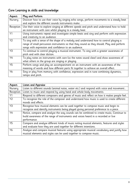### Core Learning in skills and knowledge

| Aspect:        | Play and Perform                                                                            |  |  |  |  |  |  |
|----------------|---------------------------------------------------------------------------------------------|--|--|--|--|--|--|
| Nursery        | Discover how to use their voice by singing echo songs, perform movements to a steady beat   |  |  |  |  |  |  |
|                | and explore the different sounds instruments make.                                          |  |  |  |  |  |  |
| Reception      | Use their voice to explore singing at different speeds and pitch and understand how to hold |  |  |  |  |  |  |
|                | an instrument with care whilst playing to a steady beat.                                    |  |  |  |  |  |  |
| Y1             | Using instruments repeat and investigate simple beats and sing and perform with expression  |  |  |  |  |  |  |
|                | and creativity to an audience.                                                              |  |  |  |  |  |  |
| Y <sub>2</sub> | To sing with a sense of the shape of a melody and understand how to control playing a       |  |  |  |  |  |  |
|                | range of small percussion instruments so that they sound as they should. Play and perform   |  |  |  |  |  |  |
|                | songs with expression and confidence to an audience.                                        |  |  |  |  |  |  |
| Y <sub>3</sub> | To continue to control playing a musical instrument. To sing with a greater awareness of    |  |  |  |  |  |  |
|                | pitch and with clear diction.                                                               |  |  |  |  |  |  |
| Y4             | To play notes on instruments with care (so the notes sound clear) and show awareness of     |  |  |  |  |  |  |
|                | what others in the group are singing or playing.                                            |  |  |  |  |  |  |
| <b>Y5</b>      | Perform songs and play an accompaniment on an instrument with an awareness of the           |  |  |  |  |  |  |
|                | meaning of words and how different parts fit together to achieve an overall effect.         |  |  |  |  |  |  |
| Y6             | Sing or play from memory with confidence, expression and in tune combining dynamics,        |  |  |  |  |  |  |
|                | tempo and pitch.                                                                            |  |  |  |  |  |  |

| Aspect:        | <b>Listen and Appraise</b>                                                                  |
|----------------|---------------------------------------------------------------------------------------------|
| Nursery        | Listen to different sounds (animal noise, water etc.) and respond with voice and movement   |
| Reception      | Listen to music and respond by using hand and whole body movements.                         |
| Y1             | Respond to different composers and genres of music and reflect on how it makes people feel. |
| Y2             | To recognise the role of the composer and understand how music is used to create different  |
|                | moods and effects.                                                                          |
| Y <sub>3</sub> | Recognise how musical elements can be used together to compose music and begin to           |
|                | recognise and identify instruments being played giving personal preference to a piece.      |
| Y4             | Notice, compare and analyse the way sounds can be combined to create music; Continue to     |
|                | build awareness of the range of instruments and voices heard in a recorded or live          |
|                | performance.                                                                                |
| <b>Y5</b>      | Compare and analyse different kinds of music noting musical elements, features and styles   |
|                | and evaluate how they are used together for different intentions.                           |
| Y6             | Analyse and compare musical features using appropriate musical vocabulary and justify how   |
|                | musical elements and styles can be used together to compose music.                          |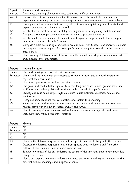| Aspect:        | <b>Improvise and Compose</b>                                                               |  |  |  |  |  |
|----------------|--------------------------------------------------------------------------------------------|--|--|--|--|--|
| Nursery        | Investigate a variety of ways to create sound with different materials.                    |  |  |  |  |  |
| Reception      | Choose different instruments, including their voice to create sound effects in play and    |  |  |  |  |  |
|                | experiment performing songs and music together with body movements to a steady beat.       |  |  |  |  |  |
| Y1             | Investigate making sounds that are very different (loud and quiet, high and low etc.) and  |  |  |  |  |  |
|                | explore own ideas and change as desired.                                                   |  |  |  |  |  |
| <b>Y2</b>      | Create short musical patterns, carefully ordering sounds in a beginning, middle and end.   |  |  |  |  |  |
| Y <sub>3</sub> | Compose three note patterns and improvise repeated patterns (ostinato).                    |  |  |  |  |  |
| Y4             | Create simple accompaniments for melodies and begin to compose simple tunes using a        |  |  |  |  |  |
|                | pentatonic scale (a scale with 5 notes).                                                   |  |  |  |  |  |
| <b>Y5</b>      | Compose simple tunes using a pentatonic scale (a scale with 5 notes) and improvise melodic |  |  |  |  |  |
|                | and rhythmic phases as part of a group performance recognising sounds can be layered to    |  |  |  |  |  |
|                | create effects.                                                                            |  |  |  |  |  |
| Y6             | Use a variety of different musical devices including melody and rhythms to compose their   |  |  |  |  |  |
|                | own musical tunes and patterns.                                                            |  |  |  |  |  |

| Aspect:   | <b>Musical Notation</b>                                                                  |  |  |  |  |
|-----------|------------------------------------------------------------------------------------------|--|--|--|--|
| Nursery   | Use mark making to represent their own music.                                            |  |  |  |  |
| Reception | Understand that music can be represented through notation and use mark making to         |  |  |  |  |
|           | represent their own music.                                                               |  |  |  |  |
| Y1        | Use given symbols to record long and short sounds.                                       |  |  |  |  |
| Y2        | Use given and child-initiated symbols to record long and short sounds (graphic score and |  |  |  |  |
|           | staff notation rhythm grids) and use these symbols to help in a performance.             |  |  |  |  |
| Y3        | Identify and read some simple rhythmic values in staff notation: crotchets, minims and   |  |  |  |  |
|           | semibreves.                                                                              |  |  |  |  |
| Y4        | Recognise some standard musical notation and explain their meaning.                      |  |  |  |  |
| <b>Y5</b> | Know and use standard musical notation (crotchet, minim and semibreve) and read the      |  |  |  |  |
|           | musical stave working out the notes, EGBDF and FACE.                                     |  |  |  |  |
| Y6        | Use of a variety of notation when performing and composing and quickly read notes        |  |  |  |  |
|           | identifying how many beats they represent.                                               |  |  |  |  |

| Aspect:         | History                                                                                      |
|-----------------|----------------------------------------------------------------------------------------------|
| Nursery         | <b>NA</b>                                                                                    |
| Reception       | <b>NA</b>                                                                                    |
| Y1              | <b>NA</b>                                                                                    |
| Y2              | <b>NA</b>                                                                                    |
| $\overline{Y3}$ | Describe the different purposes of music from specific points in history and other cultures. |
| Y4              | Describe the different purposes of music from specific points in history and from other      |
|                 | cultures; Express opinions about music from the past.                                        |
| <b>Y5</b>       | Explain how music of the past reflected the society of the time and analyse how music has    |
|                 | changed over time.                                                                           |
| Y6              | Notice and explore how music reflects time, place and culture and express opinions on the    |
|                 | different cultural meanings and purposes of music.                                           |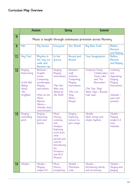|                          | <u>Autumn</u>                                                                  |                                                                                                                                                                           | Spring                                                                                                                                                                               |                                                                                                                       | <b>Summer</b>                                                                                                                             |                                                                                                              |
|--------------------------|--------------------------------------------------------------------------------|---------------------------------------------------------------------------------------------------------------------------------------------------------------------------|--------------------------------------------------------------------------------------------------------------------------------------------------------------------------------------|-----------------------------------------------------------------------------------------------------------------------|-------------------------------------------------------------------------------------------------------------------------------------------|--------------------------------------------------------------------------------------------------------------|
| $\underline{\mathsf{N}}$ | Music is taught through continuous provision across Nursery                    |                                                                                                                                                                           |                                                                                                                                                                                      |                                                                                                                       |                                                                                                                                           |                                                                                                              |
| $\overline{\mathsf{R}}$  | Me!                                                                            | My Stories                                                                                                                                                                | Everyone!                                                                                                                                                                            | Our World                                                                                                             | <b>Big Bear Funk</b>                                                                                                                      | Reflect,<br>Rewind<br>and Replay                                                                             |
| $Y1$                     | Hey You!                                                                       | Rhythm in<br>the way we<br>walk and<br>Banana rap                                                                                                                         | In the<br>groove                                                                                                                                                                     | Round and<br>Round                                                                                                    | Your Imagination                                                                                                                          | Reflect,<br>Rewind<br>and Replay                                                                             |
| Y2                       | Singing;<br>Improvising.<br>(Little Red<br>Riding<br>Hood;<br>The<br>Gruffalo) | Notation -<br>Graphic<br>scores;<br>Composing<br>soundscapes;<br>Playing<br>instruments.<br>(Man on the<br>Moon<br>(Space);<br>Nature -<br>Outside, local<br>environment) | Singing;<br>Playing<br>instruments;<br>(The Owl<br>Who was<br>Afraid of<br>the Dark)                                                                                                 | Notation -<br>staff<br>notation;<br>Composing;<br>Playing<br>Instruments.<br>(The Lion<br>King;<br>Africa -<br>Kenya) | <b>Composer Study</b><br>Tchaikovsky's<br>'Swan Lake'<br>and 'The<br>Nutcracker'<br>(The Tear Thief;<br>Baba Yaga - Russian<br>Folk Tale) | Listening<br>and<br>Appraising;<br>Singing;<br>Playing<br>Instruments.<br>(Seaside -<br>past and<br>present) |
| <u>Y3</u>                | $Singing -$<br>controlling<br>pitch.                                           | $Singing -$<br>Improving<br>pitch and<br>diction.                                                                                                                         | <b>Music</b><br>History,<br>Listening<br>and<br>Analysis;<br>Exploring<br>music from<br>other<br>periods and<br>cultures.<br>(Introducing<br>the<br>Orchestra<br>and W.A.<br>Mozart) | $Singing -$<br>Exploring<br>texture (i.e.<br>part songs)                                                              | Ukulele -<br>Open strings and<br>simple rhythms.                                                                                          | Ukulele-<br>Playing<br>simple 2-3<br>note<br>melodies.                                                       |
| <u>Y4</u>                | Ukulele-                                                                       | Ukulele-<br>Playing<br>simple 2-3                                                                                                                                         | <b>Music</b><br><b>History</b><br>(comparing                                                                                                                                         | Ukulele-<br>Pentatonic<br>scale                                                                                       | Ukulele-<br>Introducing chords<br>and strumming.                                                                                          | Ukulele -<br>Singing and<br>playing                                                                          |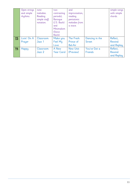|           | Open strings<br>and simple<br>rhythms. | note<br>melodies.<br>Reading<br>simple staff<br>notation. | two<br>contrasting<br>periods);<br><b>Baroque</b><br>(J.S. Bach)<br>and<br>Minimalism<br>(Steve | and<br>improvisation;<br>reading<br>pentatonic<br>melodies from<br>a stave. |                                 | simple songs<br>with simple<br>chords. |
|-----------|----------------------------------------|-----------------------------------------------------------|-------------------------------------------------------------------------------------------------|-----------------------------------------------------------------------------|---------------------------------|----------------------------------------|
|           |                                        |                                                           | Reich)                                                                                          |                                                                             |                                 |                                        |
| Y5        | Livin' On A<br>Prayer                  | Classroom<br>Jazz 1                                       | Make you<br>Feel My<br>Love                                                                     | The Fresh<br>Prince of<br>Bel-Air                                           | Dancing in the<br><b>Street</b> | Reflect,<br>Rewind<br>and Replay       |
| <u>Y6</u> | Happy                                  | Classroom<br>Jazz 2                                       | A New<br><b>Year Carol</b>                                                                      | <b>New Unit</b><br>(Preview)                                                | You've Got a<br>Friends         | Reflect,<br>Rewind<br>and Replay       |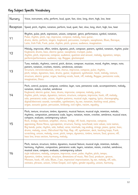### Key Subject Specific Vocabulary

| Nursery   | Voice, instrument, echo, perform, loud, quiet, fast, slow, long, short, high, low, beat                                                                                                                                                                                                                                                                                                                                                                                                                                                                                                                                                                                                                                                                                                          |
|-----------|--------------------------------------------------------------------------------------------------------------------------------------------------------------------------------------------------------------------------------------------------------------------------------------------------------------------------------------------------------------------------------------------------------------------------------------------------------------------------------------------------------------------------------------------------------------------------------------------------------------------------------------------------------------------------------------------------------------------------------------------------------------------------------------------------|
| Reception | Speed, pitch, rhythm, notation, perform, loud, quiet, fast, slow, long, short, high, low, beat                                                                                                                                                                                                                                                                                                                                                                                                                                                                                                                                                                                                                                                                                                   |
| Υ1        | Rhythm, pulse, pitch, expression, unison, composer, genre, performance, symbol, notation,<br>Pulse, rhythm, pitch, rap, improvise, compose, melody, bass guitar,<br>drums, decks, perform, singers, keyboard, percussion, trumpets, saxophones, Blues, Baroque,<br>Latin, Irish Folk, Funk, pulse, rhythm, pitch, groove, audience, imagination.                                                                                                                                                                                                                                                                                                                                                                                                                                                 |
| Υ2        | Melody, improvise, effect, timbre, dynamic, pitch, composer, pattern, symbol, notation, rhythm, pulse<br>Keyboard, drums, bass, electric quitar, saxophone, trumpet, pulse,<br>rhythm, pitch, improvise, compose, audience, question and answer, melody, dynamics, tempo,<br>perform/performance, audience, rap, Reggae, glockenspiel.                                                                                                                                                                                                                                                                                                                                                                                                                                                           |
| Y3        | Tune, melodic, rhythmic, control, pitch, diction, composer, musician, mood, rhythm, tempo, note,<br>pattern, notation, crochets, minims, semibreves, ostinato<br>Structure, intro/introduction, verse, chorus, improvise, compose, pulse, rhythm,<br>pitch, tempo, dynamics, bass, drums, quitar, keyboard, synthesizer, hook, melody, texture,<br>structure, electric guitar, organ, backing vocals, hook, riff, melody, Reggae, pentatonic scale,<br>imagination, Disco.                                                                                                                                                                                                                                                                                                                       |
| Υ4        | Pitch, control, purpose, compose, combine, layer, tune, pentatonic scale, accompaniments, melody,<br>notation, minim, crotchet, semibreve<br>Keyboard, electric guitar, bass, drums, improvise, compose, melody, pulse,<br>rhythm, pitch, tempo, dynamics, texture, structure, compose, improvise, hook, riff, melody,<br>solo, pentatonic scale, unison, rhythm patterns, musical style, rapping, lyrics, choreography,<br>digital/electronic sounds, turntables, synthesizers, by ear, notation, backing vocal, piano,<br>organ, acoustic guitar, percussion, birdsong, civil rights, racism, equality.                                                                                                                                                                                        |
| Υ5        | Pitch, texture, structure, timbre, dynamics, musical feature, musical style, intention, melodic,<br>rhythmic, composition, pentatonic scale, layers, notation, minim, crotchet, semibreve, musical stave,<br>compare, evaluate, contemporary culture<br>Rock, bridge, backbeat, amplifier, chorus, bridge, riff, hook, improvise, compose,<br>appraising, Bossa Nova, syncopation, structure, Swing, tune/head, note values, note names,<br>Big bands, pulse, rhythm, solo, ballad, verse, interlude, tag ending, strings, piano, guitar, bass,<br>drums, melody, cover, Old-school Hip Hop, Rap, riff, synthesizer, deck, backing loops, Funk,<br>scratching, unison, melody, cover, pitch, tempo, dynamics, timbre, texture, Soul, groove, riff,<br>bass line, brass section, harmony, melody. |
| Υ6        | Pitch, texture, structure, timbre, dynamics, musical feature, musical style, intention, melodic,<br>harmony, rhythmic, composition, pentatonic scale, layers, notation, minim, crotchet, semibreve,<br>musical stave, compare, evaluate, contemporary culture<br>style indicators, melody, compose, improvise, cover, pulse, rhythm, pitch, tempo,<br>dynamics, timbre, texture, structure, dimensions of music, Neo Soul, producer, groove,<br>Motown, hook, riff, solo, Blues, J azz, improvise/ improvisation, by ear, melody, riff, solo,<br>ostinato, phrases, unison, Urban Gospel, civil rights, gender equality, unison, harmony.                                                                                                                                                        |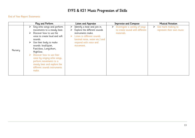# EYFS & KS1 Music Progression of Skills

#### End of Year Report Statements

|         | Play and Perform                                                                                                                                                                                                                                                                                                                                                                                   | Listen and Appraise                                                                                                                                                                           | <b>Improvise and Compose</b>                                                  | <b>Musical Notation</b>                                          |
|---------|----------------------------------------------------------------------------------------------------------------------------------------------------------------------------------------------------------------------------------------------------------------------------------------------------------------------------------------------------------------------------------------------------|-----------------------------------------------------------------------------------------------------------------------------------------------------------------------------------------------|-------------------------------------------------------------------------------|------------------------------------------------------------------|
| Nursery | Sing echo songs and perform<br>movements to a steady beat.<br>Discover how to use the<br>≻<br>voice to create loud and soft<br>sounds.<br>Use their body to make<br>➤<br>sounds: loud/quiet,<br>Fast/slow, Long/short,<br>High/low.<br>Discover how to use their<br>voice by singing echo songs,<br>perform movements to a<br>steady beat and explore the<br>different sounds instruments<br>make. | Identify a beat and join in.<br>➤<br>Explore the different sounds<br>instruments make.<br>Listen to different sounds<br>(animal noise, water etc.) and<br>respond with voice and<br>movement. | Investigate a variety of ways<br>to create sound with different<br>materials. | $\triangleright$ Use mark making to<br>represent their own music |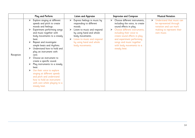|           | Play and Perform                                                                                                                                                                                                                                                                                                                                                                                                                                                                                                                  | <b>Listen and Appraise</b>                                                                                                                                                                                                  | <b>Improvise and Compose</b>                                                                                                                                                                                                                                                                     | <b>Musical Notation</b>                                                                                                      |
|-----------|-----------------------------------------------------------------------------------------------------------------------------------------------------------------------------------------------------------------------------------------------------------------------------------------------------------------------------------------------------------------------------------------------------------------------------------------------------------------------------------------------------------------------------------|-----------------------------------------------------------------------------------------------------------------------------------------------------------------------------------------------------------------------------|--------------------------------------------------------------------------------------------------------------------------------------------------------------------------------------------------------------------------------------------------------------------------------------------------|------------------------------------------------------------------------------------------------------------------------------|
| Reception | Explore singing at different<br>speeds and pitch to create<br>moods and feelings.<br>Experiment performing songs<br>and music together with<br>body movements to a steady<br>beat.<br>Repeat and investigate<br>simple beats and rhythms.<br>Understand how to hold and<br>play an instrument with<br>care.<br>Choose an instrument to<br>create a specific sound.<br>Play instruments to a steady<br>beat.<br>Use their voice to explore<br>singing at different speeds<br>and pitch and understand<br>how to hold an instrument | Express feelings in music by<br>responding to different<br>moods.<br>Listen to music and respond<br>by using hand and whole<br>body movements.<br>Listen to music and respond<br>by using hand and whole<br>body movements. | Choose different instruments,<br>➤<br>including the voice, to create<br>sound effects in play.<br>Choose different instruments,<br>including their voice to<br>create sound effects in play<br>and experiment performing<br>songs and music together<br>with body movements to a<br>steady beat. | Understand that music can<br>➤<br>be represented through<br>notation and use mark<br>making to represent their<br>own music. |
|           | with care whilst playing to a<br>steady beat.                                                                                                                                                                                                                                                                                                                                                                                                                                                                                     |                                                                                                                                                                                                                             |                                                                                                                                                                                                                                                                                                  |                                                                                                                              |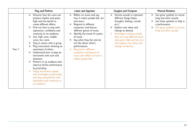|        | Play and Perform                                                                                                                                                                                                                                                                                                                                                                                                                                                                                                                                                                                                                                    | Listen and Appraise                                                                                                                                                                                                                                                                                                                                                                     | <b>Imagine and Compose</b>                                                                                                                                                                                                                                                                               | <b>Musical Notation</b>                                                                                                                                                  |  |  |
|--------|-----------------------------------------------------------------------------------------------------------------------------------------------------------------------------------------------------------------------------------------------------------------------------------------------------------------------------------------------------------------------------------------------------------------------------------------------------------------------------------------------------------------------------------------------------------------------------------------------------------------------------------------------------|-----------------------------------------------------------------------------------------------------------------------------------------------------------------------------------------------------------------------------------------------------------------------------------------------------------------------------------------------------------------------------------------|----------------------------------------------------------------------------------------------------------------------------------------------------------------------------------------------------------------------------------------------------------------------------------------------------------|--------------------------------------------------------------------------------------------------------------------------------------------------------------------------|--|--|
| Year 1 | Discover how the voice can<br>➤<br>produce rhythm and pulse,<br>high and low (pitch) to<br>create different effects.<br>Find out how to sing with<br>expression, confidence and<br>creativity to an audience.<br>Use: high voice, middle<br>voice, low voice.<br>Sing in unison with a group.<br>Play instruments showing an<br>awareness of others.<br>Understand how to play an<br>instrument with care and<br>attention.<br>Perform to an audience and<br>improve his/her performance<br>by practising.<br>Using instruments repeat<br>and investigate simple beats<br>and sing and perform with<br>expression and creativity to<br>an audience. | Reflect on music and say<br>➤<br>how it makes people feel, act<br>and move.<br>Respond to different<br>composers and discuss<br>different genres of music.<br>Identify the mood of a piece<br>of music.<br>Say what they like and do<br>not like about other's<br>performances.<br>Respond to different<br>composers and genres of<br>music and reflect on how it<br>makes people feel. | Choose sounds to represent<br>➤<br>different things (ideas,<br>thoughts, feelings, moods<br>etc.).<br>Explore own ideas and<br>➤<br>change as desired.<br>Investigate making sounds<br>that are very different (loud<br>and quiet, high and low etc.)<br>and explore own ideas and<br>change as desired. | Use given symbols to record<br>➤<br>long and short sounds.<br>Use these symbols to help in<br>a performance<br>Use given symbols to record<br>➤<br>long and short sounds |  |  |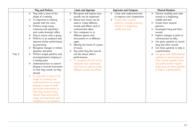|        | Play and Perform                                                                                                                                                                                                                                                                                                                                                                                                                                                                                                                                                                                                                                                                                                                                                                                                                                                   | <b>Listen and Appraise</b>                                                                                                                                                                                                                                                                                                                                                                                                                                                                                  | <b>Improvise and Compose</b>                                                                                                                                       | <b>Musical Notation</b>                                                                                                                                                                                                                                                                                                                                                                                                                                                                                                        |  |  |
|--------|--------------------------------------------------------------------------------------------------------------------------------------------------------------------------------------------------------------------------------------------------------------------------------------------------------------------------------------------------------------------------------------------------------------------------------------------------------------------------------------------------------------------------------------------------------------------------------------------------------------------------------------------------------------------------------------------------------------------------------------------------------------------------------------------------------------------------------------------------------------------|-------------------------------------------------------------------------------------------------------------------------------------------------------------------------------------------------------------------------------------------------------------------------------------------------------------------------------------------------------------------------------------------------------------------------------------------------------------------------------------------------------------|--------------------------------------------------------------------------------------------------------------------------------------------------------------------|--------------------------------------------------------------------------------------------------------------------------------------------------------------------------------------------------------------------------------------------------------------------------------------------------------------------------------------------------------------------------------------------------------------------------------------------------------------------------------------------------------------------------------|--|--|
| Year 2 | Sing with a sense of the<br>$\blacktriangleright$<br>shape of a melody.<br>To improvise in making<br>$\blacktriangleright$<br>sounds with the voice.<br>Perform songs using<br>creativity and expression<br>and create dramatic effect.<br>Sing in unison with a group.<br>Perform to an audience and<br>improve his/her performance<br>by practising.<br>Recognise changes in timbre,<br>dynamic and pitch.<br>Perform simple patterns and<br>accompaniments keeping to<br>a steady pulse.<br>Understand how to control<br>playing a musical instrument<br>so that they sound, as they<br>should.<br>To sing with a sense of the<br>shape of a melody and<br>understand how to control<br>playing a range of small<br>percussion instruments so<br>that they sound as they<br>should. Play and perform<br>songs with expression and<br>confidence to an audience. | Recognise and explore how<br>sounds can be organised.<br>Notice how music can be<br>⋗<br>used to create different<br>moods and effects and to<br>communicate ideas.<br>Sort composers in to<br>different genres and<br>instruments in to different<br>types.<br>Identify the mood of a piece<br>of music.<br>Say what they like and do<br>not like about other's<br>performances.<br>To recognise the role of the<br>composer and understand<br>how music is used to create<br>different moods and effects. | Listen and understand how<br>➤<br>to improve own composition.<br>Create short musical<br>patterns, carefully ordering<br>sounds in a beginning,<br>middle and end. | Choose carefully and order<br>sounds in a beginning,<br>middle and end.<br>Create short musical<br>patterns.<br>$\triangleright$ Investigate long and short<br>sounds<br>Explore changes in pitch to<br>communicate an idea.<br>Use given symbols to record<br>long and short sounds.<br>Use these symbols to help in<br>a performance<br>Use given and child-initiated<br>symbols to record long and<br>short sounds (graphic score<br>and staff notation rhythm<br>grids) and use these symbols<br>to help in a performance. |  |  |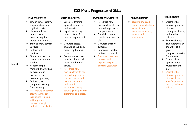# KS2 Music Progression of Skills

|             | Play and Perform                                                                                                                                                                                                                                                                                                                                                                                                                                                                                                                                                                |        | <b>Listen and Appraise</b>                                                                                                                                                                                                                                                                                                                                                                                                                                                                         |             | <b>Improvise and Compose</b>                                                                                                                                                                                                                                                                               |   | <b>Musical Notation</b>                                                                                           |                                      | <b>Musical History</b>                                                                                                                                                                                                                                                                                                                                                                    |
|-------------|---------------------------------------------------------------------------------------------------------------------------------------------------------------------------------------------------------------------------------------------------------------------------------------------------------------------------------------------------------------------------------------------------------------------------------------------------------------------------------------------------------------------------------------------------------------------------------|--------|----------------------------------------------------------------------------------------------------------------------------------------------------------------------------------------------------------------------------------------------------------------------------------------------------------------------------------------------------------------------------------------------------------------------------------------------------------------------------------------------------|-------------|------------------------------------------------------------------------------------------------------------------------------------------------------------------------------------------------------------------------------------------------------------------------------------------------------------|---|-------------------------------------------------------------------------------------------------------------------|--------------------------------------|-------------------------------------------------------------------------------------------------------------------------------------------------------------------------------------------------------------------------------------------------------------------------------------------------------------------------------------------------------------------------------------------|
| ➤<br>Year 3 | Sing in tune. Perform<br>simple melodic and<br>rhythmic parts.<br>Understand the<br>importance of<br>pronouncing the<br>words in a song well.<br>Start to show control<br>in voice.<br>Perform with<br>confidence.<br>Sing expressively in<br>time to the beat and<br>rhythm.<br>Perform simple<br>rhythmic and melodic<br>patterns on an<br>instrument to<br>accompany a song.<br>Perform given<br>compositions/songs<br>from memory.<br>To continue to control<br>playing a musical<br>instrument. To sing<br>with a greater<br>awareness of pitch<br>and with clear diction. | ➤<br>➤ | Listen to different<br>types of composers<br>and musicians.<br>Explain what they<br>think a piece of<br>music's purpose could<br>be.<br>Compare pieces,<br>thinking about pitch,<br>mood, rhythm and<br>tempo.<br>Evaluate others work,<br>thinking about pitch,<br>mood, rhythm and<br>tempo.<br>Recognise how<br>musical elements can<br>be used together to<br>compose music and<br>begin to recognise<br>and identify<br>instruments being<br>played giving personal<br>preference to a piece. | ➤<br>➤<br>➤ | Recognise how<br>musical elements can<br>be used together to<br>compose music.<br>Carefully choose<br>sounds to achieve an<br>effect.<br>Compose three note<br>patterns.<br>Improvise repeated<br>patterns (ostinato).<br>Compose three note<br>patterns and<br>improvise repeated<br>patterns (ostinato). | ➤ | Identify and read<br>some simple rhythmic<br>values in staff<br>notation: crotchets,<br>minims and<br>semibreves. | ➤<br>➤<br>➤<br>$\blacktriangleright$ | Describe the<br>different purposes<br>of music<br>throughout history<br>and in other<br>cultures.<br>Find similarities<br>and differences in<br>the work of a<br>great<br>composer/musician<br>from history.<br>Express their<br>opinions about<br>music from the<br>past.<br>Describe the<br>different purposes<br>of music from<br>specific points in<br>history and other<br>cultures. |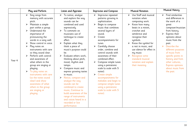| Play and Perform                                                                                                                                                                                                                                                                                                                                                                                                                                                                                                                                                                                        | Listen and Appraise                                                                                                                                                                                                                                                                                                                                                                                                                                                                                                                                                                                               | <b>Improvise and Compose</b>                                                                                                                                                                                                                                                                                                                                                                                                                                                                                                                        | <b>Musical Notation</b>                                                                                                                                                                                                                                                                                                                                               | <b>Musical History</b>                                                                                                                                                                                                                                                                                                                                                                   |
|---------------------------------------------------------------------------------------------------------------------------------------------------------------------------------------------------------------------------------------------------------------------------------------------------------------------------------------------------------------------------------------------------------------------------------------------------------------------------------------------------------------------------------------------------------------------------------------------------------|-------------------------------------------------------------------------------------------------------------------------------------------------------------------------------------------------------------------------------------------------------------------------------------------------------------------------------------------------------------------------------------------------------------------------------------------------------------------------------------------------------------------------------------------------------------------------------------------------------------------|-----------------------------------------------------------------------------------------------------------------------------------------------------------------------------------------------------------------------------------------------------------------------------------------------------------------------------------------------------------------------------------------------------------------------------------------------------------------------------------------------------------------------------------------------------|-----------------------------------------------------------------------------------------------------------------------------------------------------------------------------------------------------------------------------------------------------------------------------------------------------------------------------------------------------------------------|------------------------------------------------------------------------------------------------------------------------------------------------------------------------------------------------------------------------------------------------------------------------------------------------------------------------------------------------------------------------------------------|
| Sing songs from<br>$\blacktriangleright$<br>memory with accurate<br>pitch.<br>Maintain a simple<br>➤<br>part within a group.<br>Understand the<br>➤<br>importance of<br>pronouncing the<br>words in a song well.<br>Show control in voice.<br>Play notes on<br>instruments with care<br>so they sound clear.<br>Perform with control<br>➤<br>and awareness of<br>Year 4<br>what others in the<br>group are singing or<br>playing.<br>To play notes on<br>➤<br>instruments with care<br>(so the notes sound<br>clear) and show<br>awareness of what<br>others in the group<br>are singing or<br>playing. | To notice, analyse<br>and explore the way<br>sounds can be<br>combined and used<br>expressively.<br>To comment on<br>musicians use of<br>technique to create<br>effect<br>Explain what they<br>think a piece of<br>music's purpose could<br>be.<br>Evaluate others work,<br>thinking about pitch,<br>mood, rhythm and<br>tempo.<br>Compare music and<br>express growing tastes<br>in music.<br>Notice, compare and<br>analyse the way<br>sounds can be<br>combined to create<br>music; Continue to<br>build awareness of the<br>range of instruments<br>and voices heard in a<br>recorded or live<br>performance. | Improvise repeated<br>➤<br>patterns growing in<br>sophistication.<br>Begin to compose<br>➤<br>music that combines<br>several layers of<br>sound.<br>Create<br>≻<br>accompaniments for<br>tunes.<br>Carefully choose<br>order, combine and<br>control sounds with<br>awareness of their<br>combined effect.<br>Compose simple tunes<br>➤<br>using a pentatonic<br>scale (a scale with 5<br>notes).<br>Create simple<br>accompaniments for<br>melodies and begin to<br>compose simple tunes<br>using a pentatonic<br>scale (a scale with 5<br>notes). | Use Staff and musical<br>$\blacktriangleright$<br>notation when<br>composing work.<br>Know how many<br>➤<br>beats in a minim,<br>crotchet and<br>semibreve and<br>recognise their<br>symbols.<br>Know the symbol for<br>a rest in music, and<br>use silence for effect in<br>my music<br>Recognise some<br>standard musical<br>notation and explain<br>their meaning. | Find similarities<br>➤<br>and differences in<br>the work of a<br>qreat<br>composer/musician<br>from history.<br>Express their<br>➤<br>opinions about<br>music from the<br>past.<br>Describe the<br>$\blacktriangleright$<br>different purposes<br>of music from<br>specific points in<br>history and from<br>other cultures;<br><b>Express opinions</b><br>about music from<br>the past. |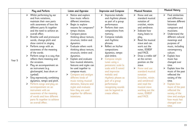|        | Play and Perform                                                                                                                                                                                                                                                                                                                                                                                                                                                                                                                                                                                                                                                                                                                                                                                                                       | Listen and Appraise                                                                                                                                                                                                                                                                                                                                                                                                                                                                                                                                                                                                                                                           | <b>Improvise and Compose</b>                                                                                                                                                                                                                                                                                                                                                                                                                                                                                                                                                 | <b>Musical Notation</b>                                                                                                                                                                                                                                                                                                                                                                                                                                                                    | <b>Musical History</b>                                                                                                                                                                                                                                                                                                                                                                                                                                                                                                                                        |
|--------|----------------------------------------------------------------------------------------------------------------------------------------------------------------------------------------------------------------------------------------------------------------------------------------------------------------------------------------------------------------------------------------------------------------------------------------------------------------------------------------------------------------------------------------------------------------------------------------------------------------------------------------------------------------------------------------------------------------------------------------------------------------------------------------------------------------------------------------|-------------------------------------------------------------------------------------------------------------------------------------------------------------------------------------------------------------------------------------------------------------------------------------------------------------------------------------------------------------------------------------------------------------------------------------------------------------------------------------------------------------------------------------------------------------------------------------------------------------------------------------------------------------------------------|------------------------------------------------------------------------------------------------------------------------------------------------------------------------------------------------------------------------------------------------------------------------------------------------------------------------------------------------------------------------------------------------------------------------------------------------------------------------------------------------------------------------------------------------------------------------------|--------------------------------------------------------------------------------------------------------------------------------------------------------------------------------------------------------------------------------------------------------------------------------------------------------------------------------------------------------------------------------------------------------------------------------------------------------------------------------------------|---------------------------------------------------------------------------------------------------------------------------------------------------------------------------------------------------------------------------------------------------------------------------------------------------------------------------------------------------------------------------------------------------------------------------------------------------------------------------------------------------------------------------------------------------------------|
| Year 5 | Whilst performing by ear<br>$\blacktriangleright$<br>and from notations,<br>maintain their own parts<br>with awareness of how the<br>different parts fit together<br>and the need to achieve an<br>overall effect.<br>Breathe well and pronounce<br>➤<br>words, change pitch and<br>show control in singing.<br>Perform songs with an<br>awareness of the meaning<br>of the words.<br>Perform songs in a way that<br>reflects there meaning and<br>the occasion.<br>Play an accompaniment on<br>an instrument (e.g.<br>glockenspiel, bass drum or<br>cymbal).<br>Sing expressively combining<br>dynamics, tempo and pitch.<br>$\triangleright$ Perform songs and play an<br>accompaniment on an<br>instrument with an<br>awareness of the meaning<br>of words and how different<br>parts fit together to achieve<br>an overall effect. | Notice and explore<br>$\blacktriangleright$<br>how music reflects<br>different intentions.<br>Begin to explore<br>➤<br>reasons for composers"<br>tempo choices.<br>Compare pieces<br>thinking about texture,<br>structure, timbre and<br>dynamics.<br>Evaluate others work<br>$\blacktriangleright$<br>thinking about texture,<br>structure, timbre and<br>dynamics.<br>Explain and evaluate<br>how musical elements,<br>features and styles can<br>be used together to<br>compose music.<br>Compare and analyse<br>different kinds of<br>music noting musical<br>elements, features and<br>styles and evaluate<br>how they are used<br>together for different<br>intentions. | Improvise melodic<br>$\blacktriangleright$<br>and rhythmic phases<br>as part of a group<br>performance.<br>Perform their own<br>$\blacktriangleright$<br>compositions from<br>memory.<br>Compose melodic<br>and rhythmic<br>phrases.<br>Reflect on his/her<br>$\blacktriangleright$<br>compositions<br>dynamics, tempo<br>and timbre.<br>Compose simple<br>tunes using a<br>pentatonic scale (a<br>scale with 5 notes)<br>and improvise<br>melodic and<br>rhythmic phases as<br>part of a group<br>performance<br>recognising sounds<br>can be layered to<br>create effects. | $\blacktriangleright$<br>Know and use<br>standard musical<br>notation of<br>crotchet, minim<br>and semibreve.<br>Indicate how<br>many beats to<br>play.<br>Read the musical<br>stave and can<br>work out the<br>notes, EGBDF<br>and FACE.<br>Draw a treble clef<br>at the correct<br>position on the<br>stave.<br>Know and use<br>➤<br>standard musical<br>notation<br>(crotchet, minim<br>and semibreve)<br>and read the<br>musical stave<br>working out the<br>notes, EGBDF<br>and FACE. | Find similarities<br>$\blacktriangleright$<br>and differences<br>between different<br>historical<br>composers and<br>musicians.<br>Understand the<br>$\blacktriangleright$<br>different cultural<br>meanings and<br>purposes of<br>music, including<br>contemporary<br>culture.<br>Explain how<br>music has<br>changed over<br>time.<br>Explain how the<br>music of the past<br>reflected the<br>society of the<br>time.<br>Explain how<br>music of the past<br>reflected the<br>society of the<br>time and analyse<br>how music has<br>changed over<br>time. |